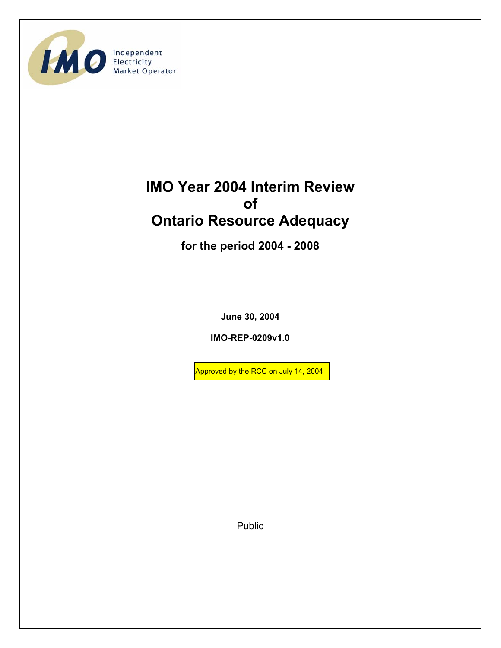

# **IMO Year 2004 Interim Review of Ontario Resource Adequacy**

# **for the period 2004 - 2008**

**June 30, 2004** 

**IMO-REP-0209v1.0** 

Approved by the RCC on July 14, 2004

Public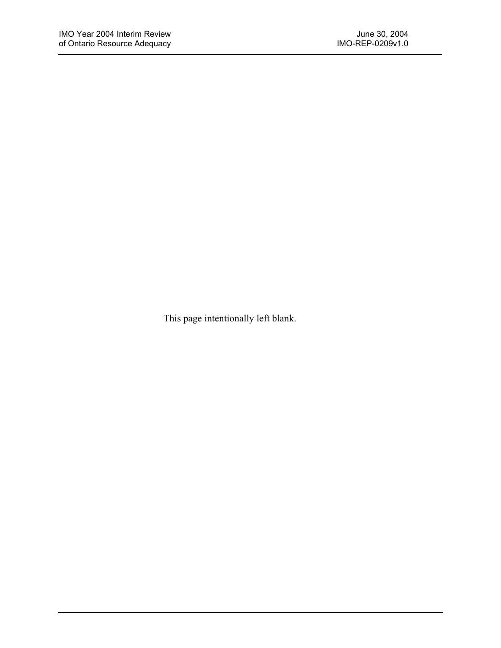This page intentionally left blank.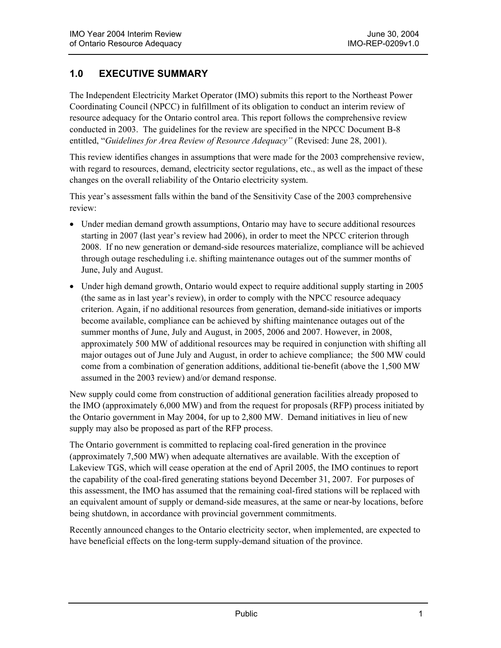I

## **1.0 EXECUTIVE SUMMARY**

The Independent Electricity Market Operator (IMO) submits this report to the Northeast Power Coordinating Council (NPCC) in fulfillment of its obligation to conduct an interim review of resource adequacy for the Ontario control area. This report follows the comprehensive review conducted in 2003. The guidelines for the review are specified in the NPCC Document B-8 entitled, "*Guidelines for Area Review of Resource Adequacy"* (Revised: June 28, 2001).

This review identifies changes in assumptions that were made for the 2003 comprehensive review, with regard to resources, demand, electricity sector regulations, etc., as well as the impact of these changes on the overall reliability of the Ontario electricity system.

This year's assessment falls within the band of the Sensitivity Case of the 2003 comprehensive review:

- Under median demand growth assumptions, Ontario may have to secure additional resources starting in 2007 (last year's review had 2006), in order to meet the NPCC criterion through 2008. If no new generation or demand-side resources materialize, compliance will be achieved through outage rescheduling i.e. shifting maintenance outages out of the summer months of June, July and August.
- Under high demand growth, Ontario would expect to require additional supply starting in 2005 (the same as in last year's review), in order to comply with the NPCC resource adequacy criterion. Again, if no additional resources from generation, demand-side initiatives or imports become available, compliance can be achieved by shifting maintenance outages out of the summer months of June, July and August, in 2005, 2006 and 2007. However, in 2008, approximately 500 MW of additional resources may be required in conjunction with shifting all major outages out of June July and August, in order to achieve compliance; the 500 MW could come from a combination of generation additions, additional tie-benefit (above the 1,500 MW assumed in the 2003 review) and/or demand response.

New supply could come from construction of additional generation facilities already proposed to the IMO (approximately 6,000 MW) and from the request for proposals (RFP) process initiated by the Ontario government in May 2004, for up to 2,800 MW. Demand initiatives in lieu of new supply may also be proposed as part of the RFP process.

The Ontario government is committed to replacing coal-fired generation in the province (approximately 7,500 MW) when adequate alternatives are available. With the exception of Lakeview TGS, which will cease operation at the end of April 2005, the IMO continues to report the capability of the coal-fired generating stations beyond December 31, 2007. For purposes of this assessment, the IMO has assumed that the remaining coal-fired stations will be replaced with an equivalent amount of supply or demand-side measures, at the same or near-by locations, before being shutdown, in accordance with provincial government commitments.

Recently announced changes to the Ontario electricity sector, when implemented, are expected to have beneficial effects on the long-term supply-demand situation of the province.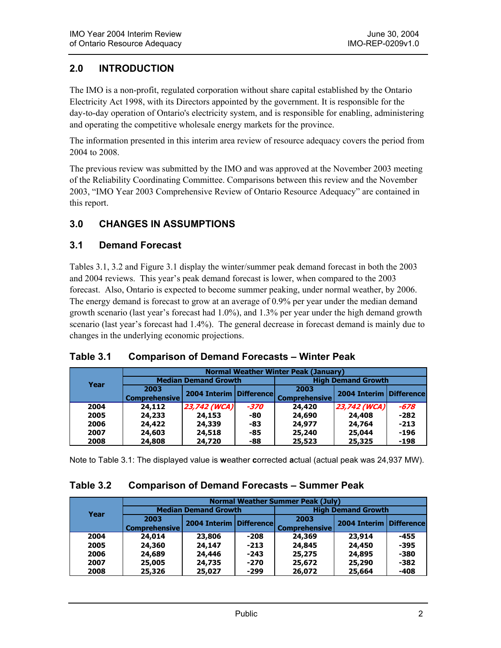## **2.0 INTRODUCTION**

The IMO is a non-profit, regulated corporation without share capital established by the Ontario Electricity Act 1998, with its Directors appointed by the government. It is responsible for the day-to-day operation of Ontario's electricity system, and is responsible for enabling, administering and operating the competitive wholesale energy markets for the province.

The information presented in this interim area review of resource adequacy covers the period from 2004 to 2008.

The previous review was submitted by the IMO and was approved at the November 2003 meeting of the Reliability Coordinating Committee. Comparisons between this review and the November 2003, "IMO Year 2003 Comprehensive Review of Ontario Resource Adequacy" are contained in this report.

#### **3.0 CHANGES IN ASSUMPTIONS**

#### **3.1 Demand Forecast**

I

Tables 3.1, 3.2 and Figure 3.1 display the winter/summer peak demand forecast in both the 2003 and 2004 reviews. This year's peak demand forecast is lower, when compared to the 2003 forecast. Also, Ontario is expected to become summer peaking, under normal weather, by 2006. The energy demand is forecast to grow at an average of 0.9% per year under the median demand growth scenario (last year's forecast had 1.0%), and 1.3% per year under the high demand growth scenario (last year's forecast had 1.4%). The general decrease in forecast demand is mainly due to changes in the underlying economic projections.

| Table 3.1 | <b>Comparison of Demand Forecasts - Winter Peak</b> |
|-----------|-----------------------------------------------------|
|-----------|-----------------------------------------------------|

|      | <b>Normal Weather Winter Peak (January)</b> |                             |      |                           |                           |        |  |
|------|---------------------------------------------|-----------------------------|------|---------------------------|---------------------------|--------|--|
| Year |                                             | <b>Median Demand Growth</b> |      | <b>High Demand Growth</b> |                           |        |  |
|      | 2003                                        | 2004 Interim Difference     |      | 2003                      | 2004 Interim   Difference |        |  |
|      | <b>Comprehensive</b>                        |                             |      | <b>Comprehensive</b>      |                           |        |  |
| 2004 | 24,112                                      | 23,742 (WCA)                | -370 | 24,420                    | 23,742 (WCA)              | $-678$ |  |
| 2005 | 24,233                                      | 24,153                      | -80  | 24,690                    | 24,408                    | $-282$ |  |
| 2006 | 24,422                                      | 24,339                      | -83  | 24,977                    | 24,764                    | $-213$ |  |
| 2007 | 24,603                                      | 24,518                      | -85  | 25,240                    | 25,044                    | $-196$ |  |
| 2008 | 24,808                                      | 24,720                      | -88  | 25,523                    | 25,325                    | $-198$ |  |

Note to Table 3.1: The displayed value is **w**eather **c**orrected **a**ctual (actual peak was 24,937 MW).

#### **Table 3.2 Comparison of Demand Forecasts – Summer Peak**

|      | <b>Normal Weather Summer Peak (July)</b> |                                    |        |                           |                                   |        |  |
|------|------------------------------------------|------------------------------------|--------|---------------------------|-----------------------------------|--------|--|
| Year | <b>Median Demand Growth</b>              |                                    |        | <b>High Demand Growth</b> |                                   |        |  |
|      | 2003                                     | <b>2004 Interim   Difference  </b> |        | 2003                      | <b>2004 Interim   Difference </b> |        |  |
|      | <b>Comprehensive</b>                     |                                    |        | <b>Comprehensive</b>      |                                   |        |  |
| 2004 | 24,014                                   | 23,806                             | $-208$ | 24,369                    | 23,914                            | $-455$ |  |
| 2005 | 24,360                                   | 24,147                             | $-213$ | 24,845                    | 24,450                            | $-395$ |  |
| 2006 | 24,689                                   | 24,446                             | $-243$ | 25,275                    | 24,895                            | $-380$ |  |
| 2007 | 25,005                                   | 24,735                             | $-270$ | 25,672                    | 25,290                            | $-382$ |  |
| 2008 | 25,326                                   | 25,027                             | -299   | 26,072                    | 25,664                            | $-408$ |  |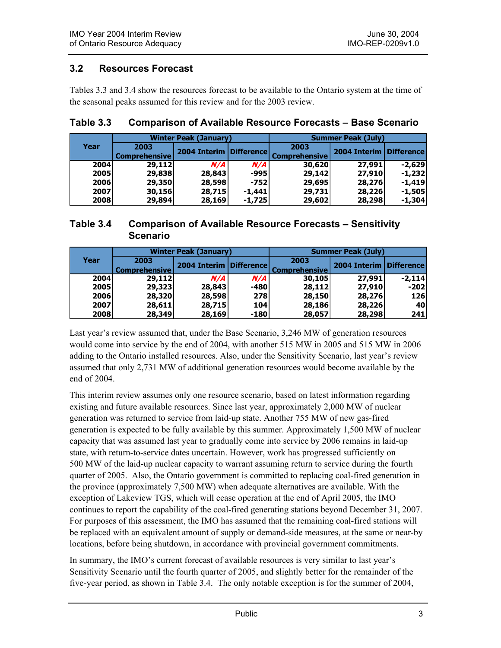#### **3.2 Resources Forecast**

I

Tables 3.3 and 3.4 show the resources forecast to be available to the Ontario system at the time of the seasonal peaks assumed for this review and for the 2003 review.

|      | <b>Winter Peak (January)</b> |                           |          | <b>Summer Peak (July)</b>    |                                  |          |
|------|------------------------------|---------------------------|----------|------------------------------|----------------------------------|----------|
| Year | 2003<br><b>Comprehensive</b> | 2004 Interim   Difference |          | 2003<br><b>Comprehensive</b> | <b>2004 Interim   Difference</b> |          |
| 2004 | 29,112                       | N/A                       | N/A      | 30,620                       | 27,991                           | $-2,629$ |
| 2005 | 29,838                       | 28,843                    | -9951    | 29,142                       | 27,910                           | $-1,232$ |
| 2006 | 29,350                       | 28,598                    | -7521    | 29,695                       | 28,276                           | $-1,419$ |
| 2007 | 30,156                       | 28,715                    | $-1,441$ | 29,731                       | 28,226                           | $-1,505$ |
| 2008 | 29,894                       | 28,169                    | $-1,725$ | 29,602                       | 28,298                           | $-1,304$ |

#### **Table 3.3 Comparison of Available Resource Forecasts – Base Scenario**

#### **Table 3.4 Comparison of Available Resource Forecasts – Sensitivity Scenario**

|      |                      | <b>Winter Peak (January)</b>    |            |                      | <b>Summer Peak (July)</b> |                   |
|------|----------------------|---------------------------------|------------|----------------------|---------------------------|-------------------|
| Year | 2003                 | <b>2004 Interim Differencel</b> |            | 2003                 | 2004 Interim              | <b>Difference</b> |
|      | <b>Comprehensive</b> |                                 |            | <b>Comprehensive</b> |                           |                   |
| 2004 | 29,112               | N/A                             | N/A        | 30,105               | 27,991                    | $-2.114$          |
| 2005 | 29,323               | 28,843                          | -480       | 28,112               | 27,910                    | $-202$            |
| 2006 | 28,320               | 28,598                          | <b>278</b> | 28,150               | 28,276                    | <b>126</b>        |
| 2007 | 28,611               | 28,715                          | 104        | 28,186               | 28,226                    | 40                |
| 2008 | 28,349               | 28,169                          | -1801      | 28,057               | 28,298                    | 241               |

Last year's review assumed that, under the Base Scenario, 3,246 MW of generation resources would come into service by the end of 2004, with another 515 MW in 2005 and 515 MW in 2006 adding to the Ontario installed resources. Also, under the Sensitivity Scenario, last year's review assumed that only 2,731 MW of additional generation resources would become available by the end of 2004.

This interim review assumes only one resource scenario, based on latest information regarding existing and future available resources. Since last year, approximately 2,000 MW of nuclear generation was returned to service from laid-up state. Another 755 MW of new gas-fired generation is expected to be fully available by this summer. Approximately 1,500 MW of nuclear capacity that was assumed last year to gradually come into service by 2006 remains in laid-up state, with return-to-service dates uncertain. However, work has progressed sufficiently on 500 MW of the laid-up nuclear capacity to warrant assuming return to service during the fourth quarter of 2005. Also, the Ontario government is committed to replacing coal-fired generation in the province (approximately 7,500 MW) when adequate alternatives are available. With the exception of Lakeview TGS, which will cease operation at the end of April 2005, the IMO continues to report the capability of the coal-fired generating stations beyond December 31, 2007. For purposes of this assessment, the IMO has assumed that the remaining coal-fired stations will be replaced with an equivalent amount of supply or demand-side measures, at the same or near-by locations, before being shutdown, in accordance with provincial government commitments.

In summary, the IMO's current forecast of available resources is very similar to last year's Sensitivity Scenario until the fourth quarter of 2005, and slightly better for the remainder of the five-year period, as shown in Table 3.4. The only notable exception is for the summer of 2004,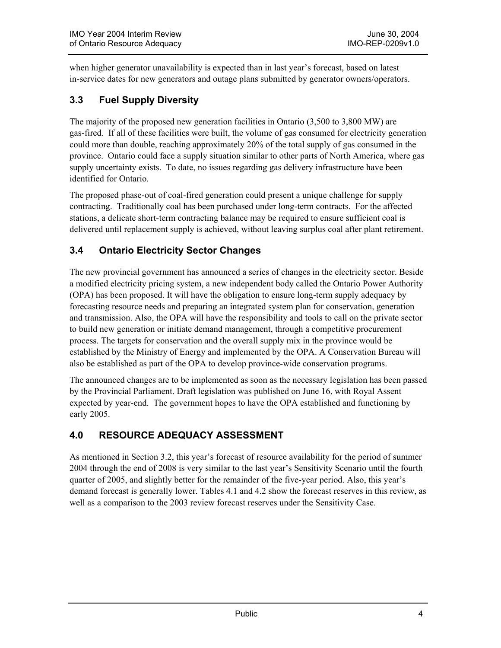when higher generator unavailability is expected than in last year's forecast, based on latest in-service dates for new generators and outage plans submitted by generator owners/operators.

## **3.3 Fuel Supply Diversity**

The majority of the proposed new generation facilities in Ontario (3,500 to 3,800 MW) are gas-fired. If all of these facilities were built, the volume of gas consumed for electricity generation could more than double, reaching approximately 20% of the total supply of gas consumed in the province. Ontario could face a supply situation similar to other parts of North America, where gas supply uncertainty exists. To date, no issues regarding gas delivery infrastructure have been identified for Ontario.

The proposed phase-out of coal-fired generation could present a unique challenge for supply contracting. Traditionally coal has been purchased under long-term contracts. For the affected stations, a delicate short-term contracting balance may be required to ensure sufficient coal is delivered until replacement supply is achieved, without leaving surplus coal after plant retirement.

## **3.4 Ontario Electricity Sector Changes**

The new provincial government has announced a series of changes in the electricity sector. Beside a modified electricity pricing system, a new independent body called the Ontario Power Authority (OPA) has been proposed. It will have the obligation to ensure long-term supply adequacy by forecasting resource needs and preparing an integrated system plan for conservation, generation and transmission. Also, the OPA will have the responsibility and tools to call on the private sector to build new generation or initiate demand management, through a competitive procurement process. The targets for conservation and the overall supply mix in the province would be established by the Ministry of Energy and implemented by the OPA. A Conservation Bureau will also be established as part of the OPA to develop province-wide conservation programs.

The announced changes are to be implemented as soon as the necessary legislation has been passed by the Provincial Parliament. Draft legislation was published on June 16, with Royal Assent expected by year-end. The government hopes to have the OPA established and functioning by early 2005.

## **4.0 RESOURCE ADEQUACY ASSESSMENT**

I

As mentioned in Section 3.2, this year's forecast of resource availability for the period of summer 2004 through the end of 2008 is very similar to the last year's Sensitivity Scenario until the fourth quarter of 2005, and slightly better for the remainder of the five-year period. Also, this year's demand forecast is generally lower. Tables 4.1 and 4.2 show the forecast reserves in this review, as well as a comparison to the 2003 review forecast reserves under the Sensitivity Case.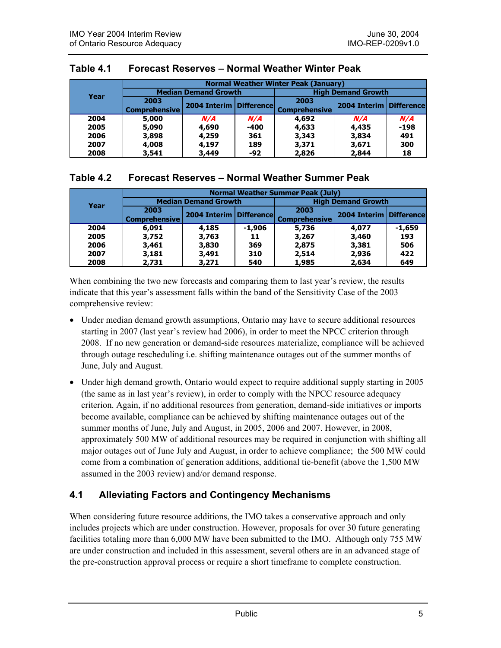| Year | <b>Normal Weather Winter Peak (January)</b> |       |                                    |                           |                                   |        |  |
|------|---------------------------------------------|-------|------------------------------------|---------------------------|-----------------------------------|--------|--|
|      | <b>Median Demand Growth</b>                 |       |                                    | <b>High Demand Growth</b> |                                   |        |  |
|      | 2003                                        |       | <b>2004 Interim   Difference  </b> | 2003                      | <b>2004 Interim   Difference </b> |        |  |
|      | <b>Comprehensive</b>                        |       |                                    | <b>Comprehensive</b>      |                                   |        |  |
| 2004 | 5,000                                       | N/A   | N/A                                | 4,692                     | N/A                               | N/A    |  |
| 2005 | 5,090                                       | 4,690 | $-400$                             | 4,633                     | 4,435                             | $-198$ |  |
| 2006 | 3,898                                       | 4,259 | 361                                | 3,343                     | 3,834                             | 491    |  |
| 2007 | 4,008                                       | 4,197 | 189                                | 3,371                     | 3,671                             | 300    |  |
| 2008 | 3,541                                       | 3,449 | -92                                | 2,826                     | 2,844                             | 18     |  |

#### **Table 4.1 Forecast Reserves – Normal Weather Winter Peak**

## **Table 4.2 Forecast Reserves – Normal Weather Summer Peak**

|      | <b>Normal Weather Summer Peak (July)</b> |       |                         |                           |                           |          |
|------|------------------------------------------|-------|-------------------------|---------------------------|---------------------------|----------|
| Year | <b>Median Demand Growth</b>              |       |                         | <b>High Demand Growth</b> |                           |          |
|      | 2003                                     |       | 2004 Interim Difference | 2003                      | 2004 Interim   Difference |          |
|      | <b>Comprehensive</b>                     |       |                         | <b>Comprehensive</b>      |                           |          |
| 2004 | 6,091                                    | 4,185 | $-1,906$                | 5,736                     | 4,077                     | $-1,659$ |
| 2005 | 3,752                                    | 3,763 | 11                      | 3,267                     | 3,460                     | 193      |
| 2006 | 3,461                                    | 3,830 | 369                     | 2,875                     | 3,381                     | 506      |
| 2007 | 3,181                                    | 3,491 | 310                     | 2,514                     | 2,936                     | 422      |
| 2008 | 2,731                                    | 3,271 | 540                     | 1,985                     | 2,634                     | 649      |

When combining the two new forecasts and comparing them to last year's review, the results indicate that this year's assessment falls within the band of the Sensitivity Case of the 2003 comprehensive review:

- Under median demand growth assumptions, Ontario may have to secure additional resources starting in 2007 (last year's review had 2006), in order to meet the NPCC criterion through 2008. If no new generation or demand-side resources materialize, compliance will be achieved through outage rescheduling i.e. shifting maintenance outages out of the summer months of June, July and August.
- Under high demand growth, Ontario would expect to require additional supply starting in 2005 (the same as in last year's review), in order to comply with the NPCC resource adequacy criterion. Again, if no additional resources from generation, demand-side initiatives or imports become available, compliance can be achieved by shifting maintenance outages out of the summer months of June, July and August, in 2005, 2006 and 2007. However, in 2008, approximately 500 MW of additional resources may be required in conjunction with shifting all major outages out of June July and August, in order to achieve compliance; the 500 MW could come from a combination of generation additions, additional tie-benefit (above the 1,500 MW assumed in the 2003 review) and/or demand response.

## **4.1 Alleviating Factors and Contingency Mechanisms**

I

When considering future resource additions, the IMO takes a conservative approach and only includes projects which are under construction. However, proposals for over 30 future generating facilities totaling more than 6,000 MW have been submitted to the IMO. Although only 755 MW are under construction and included in this assessment, several others are in an advanced stage of the pre-construction approval process or require a short timeframe to complete construction.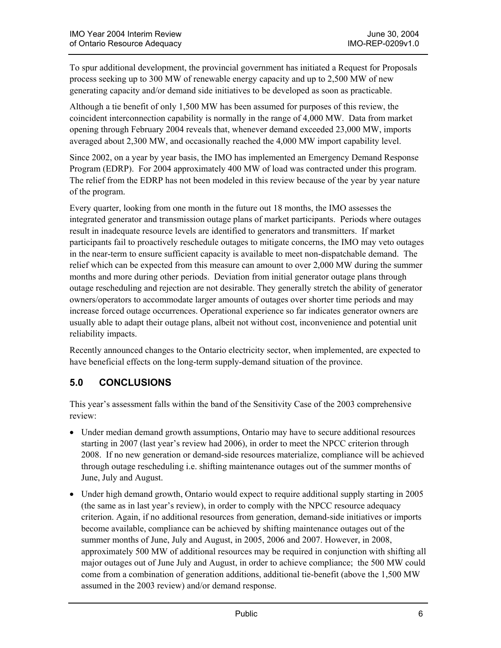To spur additional development, the provincial government has initiated a Request for Proposals process seeking up to 300 MW of renewable energy capacity and up to 2,500 MW of new generating capacity and/or demand side initiatives to be developed as soon as practicable.

Although a tie benefit of only 1,500 MW has been assumed for purposes of this review, the coincident interconnection capability is normally in the range of 4,000 MW. Data from market opening through February 2004 reveals that, whenever demand exceeded 23,000 MW, imports averaged about 2,300 MW, and occasionally reached the 4,000 MW import capability level.

Since 2002, on a year by year basis, the IMO has implemented an Emergency Demand Response Program (EDRP). For 2004 approximately 400 MW of load was contracted under this program. The relief from the EDRP has not been modeled in this review because of the year by year nature of the program.

Every quarter, looking from one month in the future out 18 months, the IMO assesses the integrated generator and transmission outage plans of market participants. Periods where outages result in inadequate resource levels are identified to generators and transmitters. If market participants fail to proactively reschedule outages to mitigate concerns, the IMO may veto outages in the near-term to ensure sufficient capacity is available to meet non-dispatchable demand. The relief which can be expected from this measure can amount to over 2,000 MW during the summer months and more during other periods. Deviation from initial generator outage plans through outage rescheduling and rejection are not desirable. They generally stretch the ability of generator owners/operators to accommodate larger amounts of outages over shorter time periods and may increase forced outage occurrences. Operational experience so far indicates generator owners are usually able to adapt their outage plans, albeit not without cost, inconvenience and potential unit reliability impacts.

Recently announced changes to the Ontario electricity sector, when implemented, are expected to have beneficial effects on the long-term supply-demand situation of the province.

## **5.0 CONCLUSIONS**

I

This year's assessment falls within the band of the Sensitivity Case of the 2003 comprehensive review:

- Under median demand growth assumptions, Ontario may have to secure additional resources starting in 2007 (last year's review had 2006), in order to meet the NPCC criterion through 2008. If no new generation or demand-side resources materialize, compliance will be achieved through outage rescheduling i.e. shifting maintenance outages out of the summer months of June, July and August.
- Under high demand growth, Ontario would expect to require additional supply starting in 2005 (the same as in last year's review), in order to comply with the NPCC resource adequacy criterion. Again, if no additional resources from generation, demand-side initiatives or imports become available, compliance can be achieved by shifting maintenance outages out of the summer months of June, July and August, in 2005, 2006 and 2007. However, in 2008, approximately 500 MW of additional resources may be required in conjunction with shifting all major outages out of June July and August, in order to achieve compliance; the 500 MW could come from a combination of generation additions, additional tie-benefit (above the 1,500 MW assumed in the 2003 review) and/or demand response.